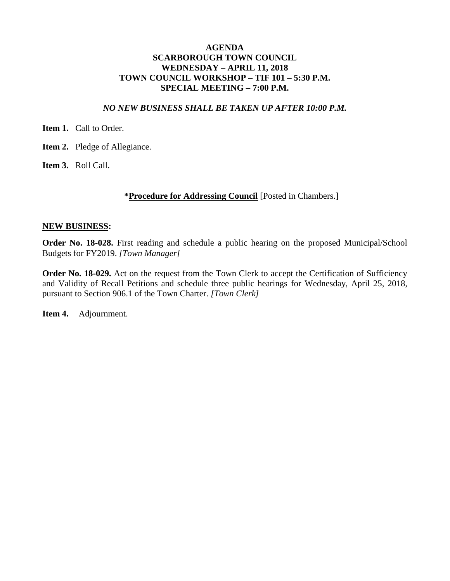### **AGENDA SCARBOROUGH TOWN COUNCIL WEDNESDAY – APRIL 11, 2018 TOWN COUNCIL WORKSHOP – TIF 101 – 5:30 P.M. SPECIAL MEETING – 7:00 P.M.**

#### *NO NEW BUSINESS SHALL BE TAKEN UP AFTER 10:00 P.M.*

**Item 1.** Call to Order.

**Item 2.** Pledge of Allegiance.

**Item 3.** Roll Call.

#### **\*Procedure for Addressing Council** [Posted in Chambers.]

#### **NEW BUSINESS:**

**Order No. 18-028.** First reading and schedule a public hearing on the proposed Municipal/School Budgets for FY2019. *[Town Manager]*

**Order No. 18-029.** Act on the request from the Town Clerk to accept the Certification of Sufficiency and Validity of Recall Petitions and schedule three public hearings for Wednesday, April 25, 2018, pursuant to Section 906.1 of the Town Charter. *[Town Clerk]*

**Item 4.** Adjournment.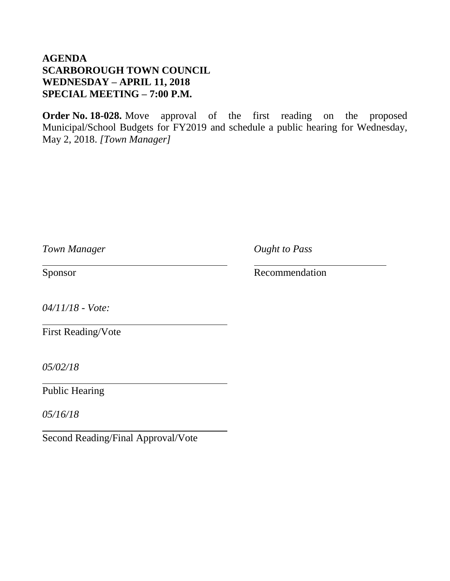## **AGENDA SCARBOROUGH TOWN COUNCIL WEDNESDAY – APRIL 11, 2018 SPECIAL MEETING – 7:00 P.M.**

**Order No. 18-028.** Move approval of the first reading on the proposed Municipal/School Budgets for FY2019 and schedule a public hearing for Wednesday, May 2, 2018. *[Town Manager]*

*Town Manager Ought to Pass*

Sponsor Recommendation

*04/11/18 - Vote:*

First Reading/Vote

*05/02/18*

Public Hearing

*05/16/18*

Second Reading/Final Approval/Vote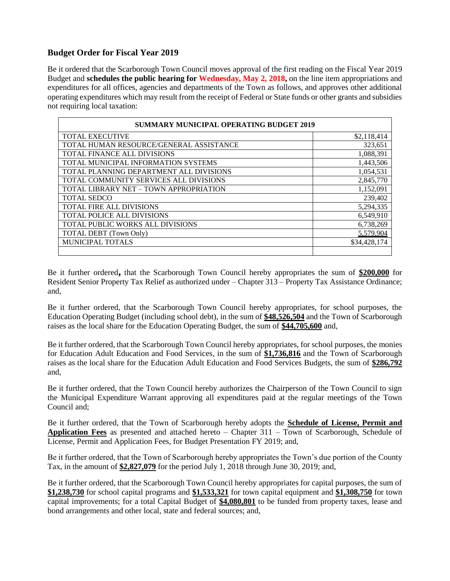### **Budget Order for Fiscal Year 2019**

Be it ordered that the Scarborough Town Council moves approval of the first reading on the Fiscal Year 2019 Budget and **schedules the public hearing for Wednesday, May 2, 2018,** on the line item appropriations and expenditures for all offices, agencies and departments of the Town as follows, and approves other additional operating expenditures which may result from the receipt of Federal or State funds or other grants and subsidies not requiring local taxation:

| <b>SUMMARY MUNICIPAL OPERATING BUDGET 2019</b> |              |  |
|------------------------------------------------|--------------|--|
| <b>TOTAL EXECUTIVE</b>                         | \$2,118,414  |  |
| TOTAL HUMAN RESOURCE/GENERAL ASSISTANCE        | 323.651      |  |
| <b>TOTAL FINANCE ALL DIVISIONS</b>             | 1,088,391    |  |
| TOTAL MUNICIPAL INFORMATION SYSTEMS            | 1,443,506    |  |
| TOTAL PLANNING DEPARTMENT ALL DIVISIONS        | 1,054,531    |  |
| TOTAL COMMUNITY SERVICES ALL DIVISIONS         | 2,845,770    |  |
| TOTAL LIBRARY NET - TOWN APPROPRIATION         | 1,152,091    |  |
| <b>TOTAL SEDCO</b>                             | 239,402      |  |
| <b>TOTAL FIRE ALL DIVISIONS</b>                | 5,294,335    |  |
| <b>TOTAL POLICE ALL DIVISIONS</b>              | 6,549,910    |  |
| <b>TOTAL PUBLIC WORKS ALL DIVISIONS</b>        | 6,738,269    |  |
| TOTAL DEBT (Town Only)                         | 5,579,904    |  |
| <b>MUNICIPAL TOTALS</b>                        | \$34,428,174 |  |
|                                                |              |  |

Be it further ordered**,** that the Scarborough Town Council hereby appropriates the sum of **\$200,000** for Resident Senior Property Tax Relief as authorized under – Chapter 313 – Property Tax Assistance Ordinance; and,

Be it further ordered, that the Scarborough Town Council hereby appropriates, for school purposes, the Education Operating Budget (including school debt), in the sum of **\$48,526,504** and the Town of Scarborough raises as the local share for the Education Operating Budget, the sum of **\$44,705,600** and,

Be it further ordered, that the Scarborough Town Council hereby appropriates, for school purposes, the monies for Education Adult Education and Food Services, in the sum of **\$1,736,816** and the Town of Scarborough raises as the local share for the Education Adult Education and Food Services Budgets, the sum of **\$286,792** and,

Be it further ordered, that the Town Council hereby authorizes the Chairperson of the Town Council to sign the Municipal Expenditure Warrant approving all expenditures paid at the regular meetings of the Town Council and;

Be it further ordered, that the Town of Scarborough hereby adopts the **Schedule of License, Permit and Application Fees** as presented and attached hereto – Chapter 311 – Town of Scarborough, Schedule of License, Permit and Application Fees, for Budget Presentation FY 2019; and,

Be it further ordered, that the Town of Scarborough hereby appropriates the Town's due portion of the County Tax, in the amount of **\$2,827,079** for the period July 1, 2018 through June 30, 2019; and,

Be it further ordered, that the Scarborough Town Council hereby appropriates for capital purposes, the sum of **\$1,238,730** for school capital programs and **\$1,533,321** for town capital equipment and **\$1,308,750** for town capital improvements; for a total Capital Budget of **\$4,080,801** to be funded from property taxes, lease and bond arrangements and other local, state and federal sources; and,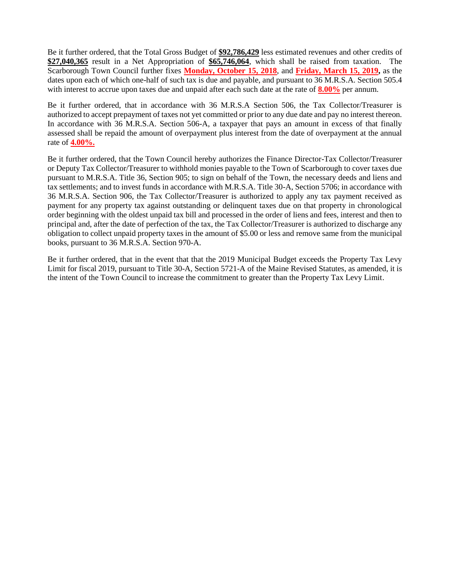Be it further ordered, that the Total Gross Budget of **\$92,786,429** less estimated revenues and other credits of **\$27,040,365** result in a Net Appropriation of **\$65,746,064**, which shall be raised from taxation. The Scarborough Town Council further fixes **Monday, October 15, 2018**, and **Friday, March 15, 2019,** as the dates upon each of which one-half of such tax is due and payable, and pursuant to 36 M.R.S.A. Section 505.4 with interest to accrue upon taxes due and unpaid after each such date at the rate of **8.00%** per annum.

Be it further ordered, that in accordance with 36 M.R.S.A Section 506, the Tax Collector/Treasurer is authorized to accept prepayment of taxes not yet committed or prior to any due date and pay no interest thereon. In accordance with 36 M.R.S.A. Section 506-A, a taxpayer that pays an amount in excess of that finally assessed shall be repaid the amount of overpayment plus interest from the date of overpayment at the annual rate of **4.00%.**

Be it further ordered, that the Town Council hereby authorizes the Finance Director-Tax Collector/Treasurer or Deputy Tax Collector/Treasurer to withhold monies payable to the Town of Scarborough to cover taxes due pursuant to M.R.S.A. Title 36, Section 905; to sign on behalf of the Town, the necessary deeds and liens and tax settlements; and to invest funds in accordance with M.R.S.A. Title 30-A, Section 5706; in accordance with 36 M.R.S.A. Section 906, the Tax Collector/Treasurer is authorized to apply any tax payment received as payment for any property tax against outstanding or delinquent taxes due on that property in chronological order beginning with the oldest unpaid tax bill and processed in the order of liens and fees, interest and then to principal and, after the date of perfection of the tax, the Tax Collector/Treasurer is authorized to discharge any obligation to collect unpaid property taxes in the amount of \$5.00 or less and remove same from the municipal books, pursuant to 36 M.R.S.A. Section 970-A.

Be it further ordered, that in the event that that the 2019 Municipal Budget exceeds the Property Tax Levy Limit for fiscal 2019, pursuant to Title 30-A, Section 5721-A of the Maine Revised Statutes, as amended, it is the intent of the Town Council to increase the commitment to greater than the Property Tax Levy Limit.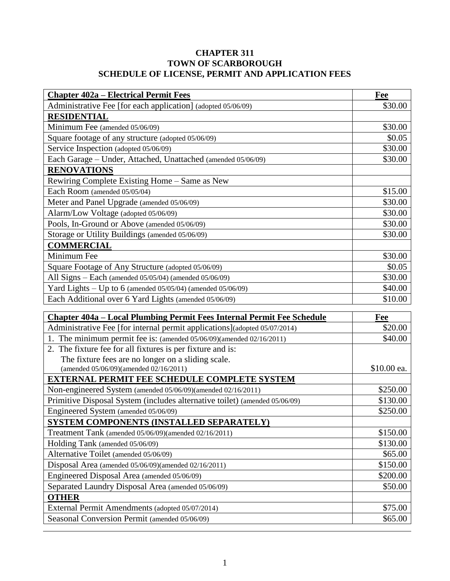### **CHAPTER 311 TOWN OF SCARBOROUGH SCHEDULE OF LICENSE, PERMIT AND APPLICATION FEES**

| <b>Chapter 402a – Electrical Permit Fees</b>                  | Fee     |
|---------------------------------------------------------------|---------|
| Administrative Fee [for each application] (adopted 05/06/09)  | \$30.00 |
| <b>RESIDENTIAL</b>                                            |         |
| Minimum Fee (amended 05/06/09)                                | \$30.00 |
| Square footage of any structure (adopted 05/06/09)            | \$0.05  |
| Service Inspection (adopted 05/06/09)                         | \$30.00 |
| Each Garage – Under, Attached, Unattached (amended 05/06/09)  | \$30.00 |
| <b>RENOVATIONS</b>                                            |         |
| Rewiring Complete Existing Home – Same as New                 |         |
| Each Room (amended 05/05/04)                                  | \$15.00 |
| Meter and Panel Upgrade (amended 05/06/09)                    | \$30.00 |
| Alarm/Low Voltage (adopted 05/06/09)                          | \$30.00 |
| Pools, In-Ground or Above (amended 05/06/09)                  | \$30.00 |
| Storage or Utility Buildings (amended 05/06/09)               | \$30.00 |
| <b>COMMERCIAL</b>                                             |         |
| Minimum Fee                                                   | \$30.00 |
| Square Footage of Any Structure (adopted 05/06/09)            | \$0.05  |
| All Signs $-$ Each (amended 05/05/04) (amended 05/06/09)      | \$30.00 |
| Yard Lights $-$ Up to 6 (amended 05/05/04) (amended 05/06/09) | \$40.00 |
| Each Additional over 6 Yard Lights (amended 05/06/09)         | \$10.00 |

| <b>Chapter 404a – Local Plumbing Permit Fees Internal Permit Fee Schedule</b> | Fee         |
|-------------------------------------------------------------------------------|-------------|
| Administrative Fee [for internal permit applications](adopted 05/07/2014)     | \$20.00     |
| 1. The minimum permit fee is: (amended $05/06/09$ )(amended $02/16/2011$ )    | \$40.00     |
| 2. The fixture fee for all fixtures is per fixture and is:                    |             |
| The fixture fees are no longer on a sliding scale.                            |             |
| (amended 05/06/09)(amended 02/16/2011)                                        | \$10.00 ea. |
| <b>EXTERNAL PERMIT FEE SCHEDULE COMPLETE SYSTEM</b>                           |             |
| Non-engineered System (amended 05/06/09)(amended 02/16/2011)                  | \$250.00    |
| Primitive Disposal System (includes alternative toilet) (amended 05/06/09)    | \$130.00    |
| Engineered System (amended 05/06/09)                                          | \$250.00    |
| SYSTEM COMPONENTS (INSTALLED SEPARATELY)                                      |             |
| Treatment Tank (amended 05/06/09)(amended 02/16/2011)                         | \$150.00    |
| Holding Tank (amended 05/06/09)                                               | \$130.00    |
| Alternative Toilet (amended 05/06/09)                                         | \$65.00     |
| Disposal Area (amended 05/06/09)(amended 02/16/2011)                          | \$150.00    |
| Engineered Disposal Area (amended 05/06/09)                                   | \$200.00    |
| Separated Laundry Disposal Area (amended 05/06/09)                            | \$50.00     |
| <b>OTHER</b>                                                                  |             |
| External Permit Amendments (adopted 05/07/2014)                               | \$75.00     |
| Seasonal Conversion Permit (amended 05/06/09)                                 | \$65.00     |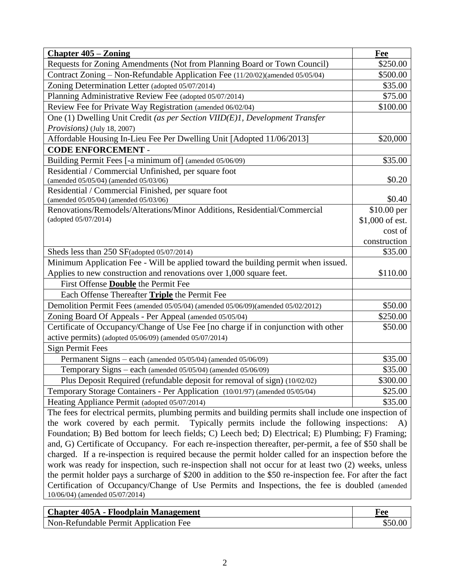| <b>Chapter 405 – Zoning</b>                                                                                                                                                                        | Fee                     |
|----------------------------------------------------------------------------------------------------------------------------------------------------------------------------------------------------|-------------------------|
| Requests for Zoning Amendments (Not from Planning Board or Town Council)                                                                                                                           | \$250.00                |
| Contract Zoning - Non-Refundable Application Fee (11/20/02)(amended 05/05/04)                                                                                                                      | \$500.00                |
| Zoning Determination Letter (adopted 05/07/2014)                                                                                                                                                   | \$35.00                 |
| Planning Administrative Review Fee (adopted 05/07/2014)                                                                                                                                            | \$75.00                 |
| Review Fee for Private Way Registration (amended 06/02/04)                                                                                                                                         | \$100.00                |
| One (1) Dwelling Unit Credit (as per Section VIID(E)1, Development Transfer                                                                                                                        |                         |
| <i>Provisions</i> ) (July 18, 2007)                                                                                                                                                                |                         |
| Affordable Housing In-Lieu Fee Per Dwelling Unit [Adopted 11/06/2013]                                                                                                                              | \$20,000                |
| <b>CODE ENFORCEMENT -</b>                                                                                                                                                                          |                         |
| Building Permit Fees [-a minimum of] (amended 05/06/09)                                                                                                                                            | \$35.00                 |
| Residential / Commercial Unfinished, per square foot                                                                                                                                               |                         |
| (amended 05/05/04) (amended 05/03/06)                                                                                                                                                              | \$0.20                  |
| Residential / Commercial Finished, per square foot                                                                                                                                                 |                         |
| (amended 05/05/04) (amended 05/03/06)                                                                                                                                                              | \$0.40                  |
| Renovations/Remodels/Alterations/Minor Additions, Residential/Commercial                                                                                                                           | \$10.00 per             |
| (adopted 05/07/2014)                                                                                                                                                                               | \$1,000 of est.         |
|                                                                                                                                                                                                    | cost of                 |
|                                                                                                                                                                                                    | construction<br>\$35.00 |
| Sheds less than 250 SF(adopted 05/07/2014)                                                                                                                                                         |                         |
| Minimum Application Fee - Will be applied toward the building permit when issued.                                                                                                                  |                         |
| Applies to new construction and renovations over 1,000 square feet.                                                                                                                                | \$110.00                |
| First Offense <b>Double</b> the Permit Fee<br>Each Offense Thereafter Triple the Permit Fee                                                                                                        |                         |
|                                                                                                                                                                                                    | \$50.00                 |
| Demolition Permit Fees (amended 05/05/04) (amended 05/06/09)(amended 05/02/2012)                                                                                                                   |                         |
| Zoning Board Of Appeals - Per Appeal (amended 05/05/04)                                                                                                                                            | \$250.00                |
| Certificate of Occupancy/Change of Use Fee [no charge if in conjunction with other                                                                                                                 | \$50.00                 |
| active permits) (adopted 05/06/09) (amended 05/07/2014)<br><b>Sign Permit Fees</b>                                                                                                                 |                         |
| Permanent Signs - each (amended 05/05/04) (amended 05/06/09)                                                                                                                                       | \$35.00                 |
| Temporary Signs - each (amended 05/05/04) (amended 05/06/09)                                                                                                                                       | \$35.00                 |
| Plus Deposit Required (refundable deposit for removal of sign) (10/02/02)                                                                                                                          | \$300.00                |
|                                                                                                                                                                                                    | \$25.00                 |
| Temporary Storage Containers - Per Application (10/01/97) (amended 05/05/04)                                                                                                                       |                         |
| Heating Appliance Permit (adopted 05/07/2014)                                                                                                                                                      | \$35.00                 |
| The fees for electrical permits, plumbing permits and building permits shall include one inspection of<br>the work covered by each permit.<br>Typically permits include the following inspections: | A)                      |
| Foundation; B) Bed bottom for leech fields; C) Leech bed; D) Electrical; E) Plumbing; F) Framing;                                                                                                  |                         |
| and, G) Certificate of Occupancy. For each re-inspection thereafter, per-permit, a fee of \$50 shall be                                                                                            |                         |
| charged. If a re-inspection is required because the permit holder called for an inspection before the                                                                                              |                         |
| work was ready for inspection, such re-inspection shall not occur for at least two (2) weeks, unless                                                                                               |                         |
| the permit holder pays a surcharge of \$200 in addition to the \$50 re-inspection fee. For after the fact                                                                                          |                         |
| Certification of Occupancy/Change of Use Permits and Inspections, the fee is doubled (amended                                                                                                      |                         |
| 10/06/04) (amended 05/07/2014)                                                                                                                                                                     |                         |
|                                                                                                                                                                                                    |                         |

| <b>Chapter 405A - Floodplain Management</b> | Fee |
|---------------------------------------------|-----|
| Non-Refundable Permit Application Fee       |     |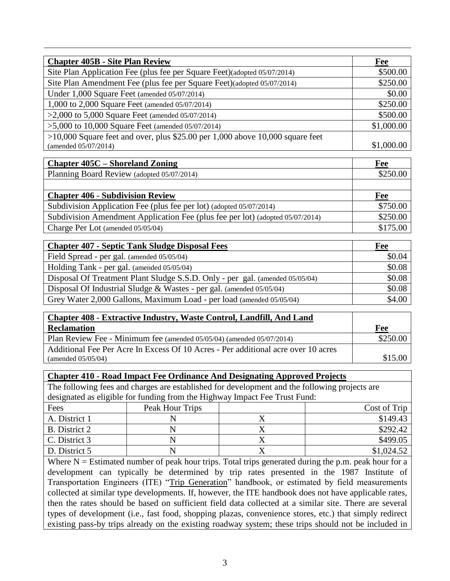| <b>Chapter 405B - Site Plan Review</b>                                          | Fee        |
|---------------------------------------------------------------------------------|------------|
| Site Plan Application Fee (plus fee per Square Feet)(adopted 05/07/2014)        | \$500.00   |
| Site Plan Amendment Fee (plus fee per Square Feet)(adopted 05/07/2014)          | \$250.00   |
| Under 1,000 Square Feet (amended 05/07/2014)                                    | \$0.00     |
| 1,000 to 2,000 Square Feet (amended 05/07/2014)                                 | \$250.00   |
| >2,000 to 5,000 Square Feet (amended $05/07/2014$ )                             | \$500.00   |
| $>5,000$ to 10,000 Square Feet (amended 05/07/2014)                             | \$1,000.00 |
| $>10,000$ Square feet and over, plus \$25.00 per 1,000 above 10,000 square feet |            |
| (amended 05/07/2014)                                                            | \$1,000.00 |

| <b>Chapter 405C – Shoreland Zoning</b>                                        | Fee      |
|-------------------------------------------------------------------------------|----------|
| Planning Board Review (adopted 05/07/2014)                                    | \$250.00 |
|                                                                               |          |
| <b>Chapter 406 - Subdivision Review</b>                                       | Fee      |
| Subdivision Application Fee (plus fee per lot) (adopted 05/07/2014)           | \$750.00 |
| Subdivision Amendment Application Fee (plus fee per lot) (adopted 05/07/2014) | \$250.00 |
| Charge Per Lot (amended 05/05/04)                                             | \$175.00 |

| Chapter 407 - Septic Tank Sludge Disposal Fees                               | Fee    |
|------------------------------------------------------------------------------|--------|
| Field Spread - per gal. (amended 05/05/04)                                   | \$0.04 |
| Holding Tank - per gal. (amended 05/05/04)                                   | \$0.08 |
| Disposal Of Treatment Plant Sludge S.S.D. Only - per gal. (amended 05/05/04) | \$0.08 |
| Disposal Of Industrial Sludge $&W$ astes - per gal. (amended 05/05/04)       | \$0.08 |
| Grey Water 2,000 Gallons, Maximum Load - per load (amended 05/05/04)         | \$4.00 |

| <b>Chapter 408 - Extractive Industry, Waste Control, Landfill, And Land</b>       |          |
|-----------------------------------------------------------------------------------|----------|
| <b>Reclamation</b>                                                                | Fee      |
| Plan Review Fee - Minimum fee (amended 05/05/04) (amended 05/07/2014)             | \$250.00 |
| Additional Fee Per Acre In Excess Of 10 Acres - Per additional acre over 10 acres |          |
| (amended $05/05/04$ )                                                             | \$15.00  |

### **Chapter 410 - Road Impact Fee Ordinance And Designating Approved Projects**

The following fees and charges are established for development and the following projects are designated as eligible for funding from the Highway Impact Fee Trust Fund:

| Fees          | Peak Hour Trips | Cost of Trip |
|---------------|-----------------|--------------|
| A. District 1 |                 | \$149.43     |
| B. District 2 |                 | \$292.42     |
| C. District 3 |                 | \$499.05     |
| D. District 5 |                 | \$1,024.52   |

Where  $N =$  Estimated number of peak hour trips. Total trips generated during the p.m. peak hour for a development can typically be determined by trip rates presented in the 1987 Institute of Transportation Engineers (ITE) "Trip Generation" handbook, or estimated by field measurements collected at similar type developments. If, however, the ITE handbook does not have applicable rates, then the rates should be based on sufficient field data collected at a similar site. There are several types of development (i.e., fast food, shopping plazas, convenience stores, etc.) that simply redirect existing pass-by trips already on the existing roadway system; these trips should not be included in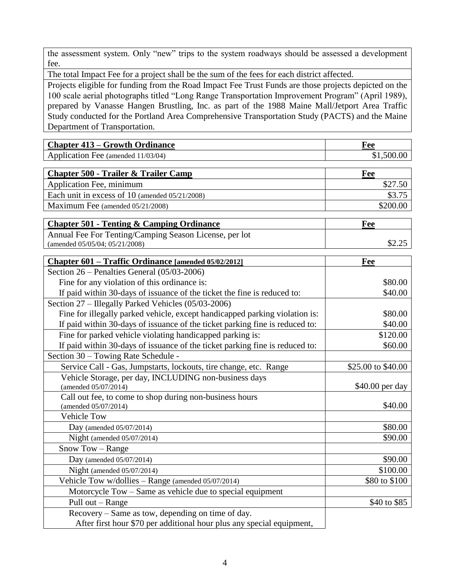the assessment system. Only "new" trips to the system roadways should be assessed a development fee.

The total Impact Fee for a project shall be the sum of the fees for each district affected.

Projects eligible for funding from the Road Impact Fee Trust Funds are those projects depicted on the 100 scale aerial photographs titled "Long Range Transportation Improvement Program" (April 1989), prepared by Vanasse Hangen Brustling, Inc. as part of the 1988 Maine Mall/Jetport Area Traffic Study conducted for the Portland Area Comprehensive Transportation Study (PACTS) and the Maine Department of Transportation.

| <b>Chapter 413 – Growth Ordinance</b>                                         | Fee                |
|-------------------------------------------------------------------------------|--------------------|
| Application Fee (amended 11/03/04)                                            | \$1,500.00         |
| <b>Chapter 500 - Trailer &amp; Trailer Camp</b>                               | <b>Fee</b>         |
| Application Fee, minimum                                                      | \$27.50            |
| Each unit in excess of 10 (amended 05/21/2008)                                | \$3.75             |
| Maximum Fee (amended 05/21/2008)                                              | \$200.00           |
| <b>Chapter 501 - Tenting &amp; Camping Ordinance</b>                          | Fee                |
| Annual Fee For Tenting/Camping Season License, per lot                        |                    |
| (amended 05/05/04; 05/21/2008)                                                | \$2.25             |
| Chapter 601 – Traffic Ordinance [amended 05/02/2012]                          | Fee                |
| Section 26 – Penalties General (05/03-2006)                                   |                    |
| Fine for any violation of this ordinance is:                                  | \$80.00            |
| If paid within 30-days of issuance of the ticket the fine is reduced to:      | \$40.00            |
| Section 27 – Illegally Parked Vehicles (05/03-2006)                           |                    |
| Fine for illegally parked vehicle, except handicapped parking violation is:   | \$80.00            |
| If paid within 30-days of issuance of the ticket parking fine is reduced to:  | \$40.00            |
| Fine for parked vehicle violating handicapped parking is:                     | \$120.00           |
| If paid within 30-days of issuance of the ticket parking fine is reduced to:  | \$60.00            |
| Section 30 – Towing Rate Schedule -                                           |                    |
| Service Call - Gas, Jumpstarts, lockouts, tire change, etc. Range             | \$25.00 to \$40.00 |
| Vehicle Storage, per day, INCLUDING non-business days<br>(amended 05/07/2014) | \$40.00 per day    |
| Call out fee, to come to shop during non-business hours                       |                    |
| (amended 05/07/2014)                                                          | \$40.00            |
| <b>Vehicle Tow</b>                                                            |                    |
| Day (amended 05/07/2014)                                                      | \$80.00            |
| Night (amended $05/07/2014$ )                                                 | \$90.00            |
| Snow Tow - Range                                                              |                    |
| Day (amended 05/07/2014)                                                      | \$90.00            |
| Night (amended 05/07/2014)                                                    | \$100.00           |
| Vehicle Tow w/dollies - Range (amended 05/07/2014)                            | \$80 to \$100      |
| Motorcycle Tow – Same as vehicle due to special equipment                     |                    |
| Pull out - Range                                                              | \$40 to \$85       |
| Recovery – Same as tow, depending on time of day.                             |                    |
| After first hour \$70 per additional hour plus any special equipment,         |                    |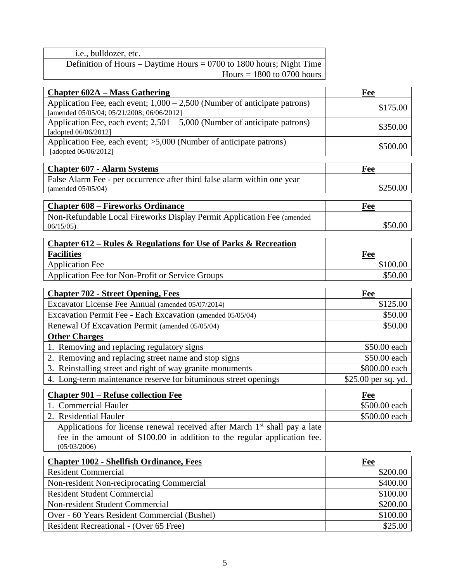| i.e., bulldozer, etc.                                                  |  |
|------------------------------------------------------------------------|--|
| Definition of Hours – Daytime Hours = $0700$ to 1800 hours; Night Time |  |
| Hours $= 1800$ to 0700 hours                                           |  |
|                                                                        |  |

| <b>Chapter 602A – Mass Gathering</b>                                                                                      | Fee                 |
|---------------------------------------------------------------------------------------------------------------------------|---------------------|
| Application Fee, each event; $1,000 - 2,500$ (Number of anticipate patrons)<br>[amended 05/05/04; 05/21/2008; 06/06/2012] | \$175.00            |
| Application Fee, each event; $2,501 - 5,000$ (Number of anticipate patrons)<br>[adopted 06/06/2012]                       | \$350.00            |
| Application Fee, each event; >5,000 (Number of anticipate patrons)<br>[adopted 06/06/2012]                                | \$500.00            |
|                                                                                                                           |                     |
| <b>Chapter 607 - Alarm Systems</b>                                                                                        | Fee                 |
| False Alarm Fee - per occurrence after third false alarm within one year<br>(amended 05/05/04)                            | \$250.00            |
| <b>Chapter 608 – Fireworks Ordinance</b>                                                                                  | Fee                 |
| Non-Refundable Local Fireworks Display Permit Application Fee (amended<br>06/15/05                                        | \$50.00             |
| Chapter 612 – Rules & Regulations for Use of Parks & Recreation                                                           |                     |
| <b>Facilities</b>                                                                                                         | Fee                 |
| <b>Application Fee</b>                                                                                                    | \$100.00            |
| Application Fee for Non-Profit or Service Groups                                                                          | \$50.00             |
| <b>Chapter 702 - Street Opening, Fees</b>                                                                                 | Fee                 |
| Excavator License Fee Annual (amended 05/07/2014)                                                                         | \$125.00            |
| Excavation Permit Fee - Each Excavation (amended 05/05/04)                                                                | \$50.00             |
| Renewal Of Excavation Permit (amended 05/05/04)                                                                           | \$50.00             |
| <b>Other Charges</b>                                                                                                      |                     |
| 1. Removing and replacing regulatory signs                                                                                | \$50.00 each        |
| 2. Removing and replacing street name and stop signs                                                                      | \$50.00 each        |
| 3. Reinstalling street and right of way granite monuments                                                                 | \$800.00 each       |
| 4. Long-term maintenance reserve for bituminous street openings                                                           | \$25.00 per sq. yd. |
| <b>Chapter 901 – Refuse collection Fee</b>                                                                                | Fee                 |
| 1. Commercial Hauler                                                                                                      | \$500.00 each       |
| 2.<br><b>Residential Hauler</b>                                                                                           | \$500.00 each       |
| Applications for license renewal received after March 1 <sup>st</sup> shall pay a late                                    |                     |
| fee in the amount of \$100.00 in addition to the regular application fee.                                                 |                     |
| (05/03/2006)                                                                                                              |                     |
| <b>Chapter 1002 - Shellfish Ordinance, Fees</b>                                                                           | Fee                 |
| <b>Resident Commercial</b>                                                                                                | \$200.00            |
| Non-resident Non-reciprocating Commercial                                                                                 | \$400.00            |
| <b>Resident Student Commercial</b>                                                                                        | \$100.00            |
| Non-resident Student Commercial                                                                                           | \$200.00            |
| Over - 60 Years Resident Commercial (Bushel)                                                                              | \$100.00            |
| Resident Recreational - (Over 65 Free)                                                                                    | \$25.00             |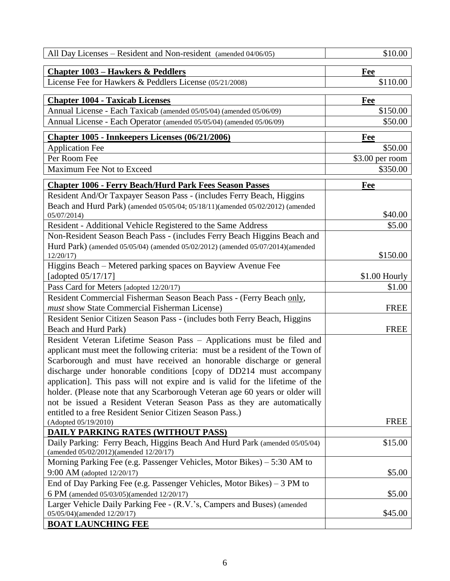| All Day Licenses – Resident and Non-resident (amended 04/06/05)                                                                                    | \$10.00          |
|----------------------------------------------------------------------------------------------------------------------------------------------------|------------------|
| <b>Chapter 1003 – Hawkers &amp; Peddlers</b>                                                                                                       | Fee              |
| License Fee for Hawkers & Peddlers License (05/21/2008)                                                                                            | \$110.00         |
| <b>Chapter 1004 - Taxicab Licenses</b>                                                                                                             | Fee              |
| Annual License - Each Taxicab (amended 05/05/04) (amended 05/06/09)                                                                                | \$150.00         |
| Annual License - Each Operator (amended 05/05/04) (amended 05/06/09)                                                                               | \$50.00          |
| Chapter 1005 - Innkeepers Licenses (06/21/2006)                                                                                                    | Fee              |
| <b>Application Fee</b>                                                                                                                             | \$50.00          |
| Per Room Fee                                                                                                                                       | $$3.00$ per room |
| Maximum Fee Not to Exceed                                                                                                                          | \$350.00         |
| <b>Chapter 1006 - Ferry Beach/Hurd Park Fees Season Passes</b>                                                                                     | Fee              |
| Resident And/Or Taxpayer Season Pass - (includes Ferry Beach, Higgins                                                                              |                  |
| Beach and Hurd Park) (amended 05/05/04; 05/18/11)(amended 05/02/2012) (amended<br>05/07/2014)                                                      | \$40.00          |
| Resident - Additional Vehicle Registered to the Same Address                                                                                       | \$5.00           |
| Non-Resident Season Beach Pass - (includes Ferry Beach Higgins Beach and                                                                           |                  |
| Hurd Park) (amended 05/05/04) (amended 05/02/2012) (amended 05/07/2014)(amended<br>12/20/17                                                        | \$150.00         |
| Higgins Beach – Metered parking spaces on Bayview Avenue Fee                                                                                       |                  |
| [adopted $05/17/17$ ]                                                                                                                              | $$1.00$ Hourly   |
| Pass Card for Meters [adopted 12/20/17)                                                                                                            | \$1.00           |
| Resident Commercial Fisherman Season Beach Pass - (Ferry Beach only,                                                                               |                  |
| must show State Commercial Fisherman License)                                                                                                      | <b>FREE</b>      |
| Resident Senior Citizen Season Pass - (includes both Ferry Beach, Higgins                                                                          |                  |
| Beach and Hurd Park)                                                                                                                               | <b>FREE</b>      |
| Resident Veteran Lifetime Season Pass - Applications must be filed and                                                                             |                  |
| applicant must meet the following criteria: must be a resident of the Town of                                                                      |                  |
| Scarborough and must have received an honorable discharge or general                                                                               |                  |
| discharge under honorable conditions [copy of DD214 must accompany<br>application]. This pass will not expire and is valid for the lifetime of the |                  |
| holder. (Please note that any Scarborough Veteran age 60 years or older will                                                                       |                  |
| not be issued a Resident Veteran Season Pass as they are automatically                                                                             |                  |
| entitled to a free Resident Senior Citizen Season Pass.)                                                                                           |                  |
| (Adopted 05/19/2010)                                                                                                                               | <b>FREE</b>      |
| <b>DAILY PARKING RATES (WITHOUT PASS)</b>                                                                                                          |                  |
| Daily Parking: Ferry Beach, Higgins Beach And Hurd Park (amended 05/05/04)<br>(amended 05/02/2012)(amended 12/20/17)                               | \$15.00          |
| Morning Parking Fee (e.g. Passenger Vehicles, Motor Bikes) – 5:30 AM to                                                                            |                  |
| 9:00 AM (adopted 12/20/17)                                                                                                                         | \$5.00           |
| End of Day Parking Fee (e.g. Passenger Vehicles, Motor Bikes) $-3$ PM to                                                                           |                  |
| 6 PM (amended 05/03/05)(amended 12/20/17)                                                                                                          | \$5.00           |
| Larger Vehicle Daily Parking Fee - (R.V.'s, Campers and Buses) (amended<br>05/05/04)(amended 12/20/17)                                             | \$45.00          |
| <b>BOAT LAUNCHING FEE</b>                                                                                                                          |                  |
|                                                                                                                                                    |                  |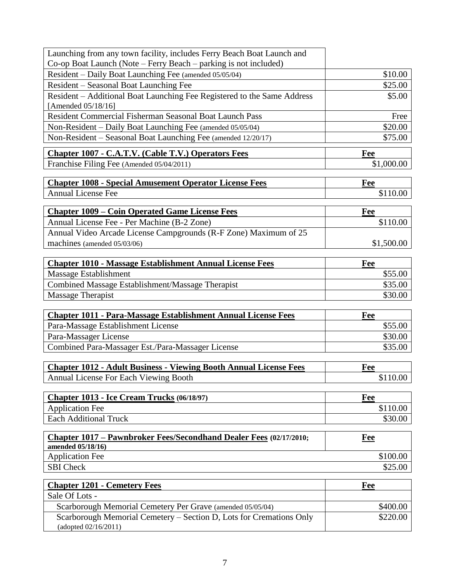| Launching from any town facility, includes Ferry Beach Boat Launch and    |            |
|---------------------------------------------------------------------------|------------|
| Co-op Boat Launch (Note – Ferry Beach – parking is not included)          |            |
| Resident - Daily Boat Launching Fee (amended 05/05/04)                    | \$10.00    |
| Resident – Seasonal Boat Launching Fee                                    | \$25.00    |
| Resident – Additional Boat Launching Fee Registered to the Same Address   | \$5.00     |
| [Amended 05/18/16]                                                        |            |
| Resident Commercial Fisherman Seasonal Boat Launch Pass                   | Free       |
| Non-Resident - Daily Boat Launching Fee (amended 05/05/04)                | \$20.00    |
| Non-Resident – Seasonal Boat Launching Fee (amended 12/20/17)             | \$75.00    |
| <b>Chapter 1007 - C.A.T.V. (Cable T.V.) Operators Fees</b>                | Fee        |
| Franchise Filing Fee (Amended 05/04/2011)                                 | \$1,000.00 |
|                                                                           |            |
| <b>Chapter 1008 - Special Amusement Operator License Fees</b>             | Fee        |
| <b>Annual License Fee</b>                                                 | \$110.00   |
| <b>Chapter 1009 – Coin Operated Game License Fees</b>                     | Fee        |
| Annual License Fee - Per Machine (B-2 Zone)                               | \$110.00   |
| Annual Video Arcade License Campgrounds (R-F Zone) Maximum of 25          |            |
| machines (amended 05/03/06)                                               | \$1,500.00 |
|                                                                           |            |
| <b>Chapter 1010 - Massage Establishment Annual License Fees</b>           | Fee        |
| Massage Establishment                                                     | \$55.00    |
| Combined Massage Establishment/Massage Therapist                          | \$35.00    |
| <b>Massage Therapist</b>                                                  | \$30.00    |
|                                                                           |            |
| <b>Chapter 1011 - Para-Massage Establishment Annual License Fees</b>      | <b>Fee</b> |
| Para-Massage Establishment License                                        | \$55.00    |
| Para-Massager License                                                     | \$30.00    |
| Combined Para-Massager Est./Para-Massager License                         | \$35.00    |
| <b>Chapter 1012 - Adult Business - Viewing Booth Annual License Fees</b>  | Fee        |
| Annual License For Each Viewing Booth                                     | \$110.00   |
|                                                                           |            |
| Chapter 1013 - Ice Cream Trucks (06/18/97)                                | Fee        |
| <b>Application Fee</b>                                                    | \$110.00   |
| <b>Each Additional Truck</b>                                              | \$30.00    |
|                                                                           |            |
| <b>Chapter 1017 – Pawnbroker Fees/Secondhand Dealer Fees (02/17/2010;</b> | <b>Fee</b> |
| amended 05/18/16)<br><b>Application Fee</b>                               | \$100.00   |
| <b>SBI</b> Check                                                          | \$25.00    |
|                                                                           |            |
| <b>Chapter 1201 - Cemetery Fees</b>                                       | Fee        |
| Sale Of Lots -                                                            |            |
| Scarborough Memorial Cemetery Per Grave (amended 05/05/04)                | \$400.00   |
| Scarborough Memorial Cemetery – Section D, Lots for Cremations Only       | \$220.00   |

7

(adopted 02/16/2011)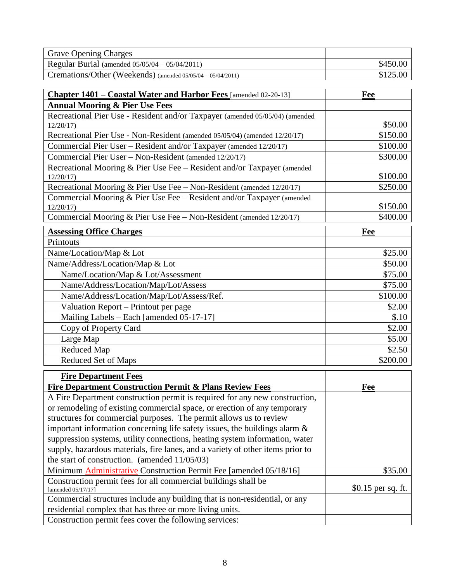| <b>Grave Opening Charges</b>                                                             |                     |
|------------------------------------------------------------------------------------------|---------------------|
| Regular Burial (amended 05/05/04 - 05/04/2011)                                           | \$450.00            |
| Cremations/Other (Weekends) (amended 05/05/04 - 05/04/2011)                              | \$125.00            |
|                                                                                          |                     |
| Chapter 1401 – Coastal Water and Harbor Fees [amended 02-20-13]                          | Fee                 |
| <b>Annual Mooring &amp; Pier Use Fees</b>                                                |                     |
| Recreational Pier Use - Resident and/or Taxpayer (amended 05/05/04) (amended<br>12/20/17 | \$50.00             |
| Recreational Pier Use - Non-Resident (amended 05/05/04) (amended 12/20/17)               | \$150.00            |
| Commercial Pier User - Resident and/or Taxpayer (amended 12/20/17)                       | \$100.00            |
| Commercial Pier User - Non-Resident (amended 12/20/17)                                   | \$300.00            |
| Recreational Mooring & Pier Use Fee - Resident and/or Taxpayer (amended<br>12/20/17      | \$100.00            |
| Recreational Mooring & Pier Use Fee - Non-Resident (amended 12/20/17)                    | \$250.00            |
| Commercial Mooring & Pier Use Fee - Resident and/or Taxpayer (amended<br>12/20/17        | \$150.00            |
| Commercial Mooring & Pier Use Fee - Non-Resident (amended 12/20/17)                      | \$400.00            |
| <b>Assessing Office Charges</b>                                                          | Fee                 |
| Printouts                                                                                |                     |
| Name/Location/Map & Lot                                                                  | \$25.00             |
| Name/Address/Location/Map & Lot                                                          | \$50.00             |
| Name/Location/Map & Lot/Assessment                                                       | \$75.00             |
| Name/Address/Location/Map/Lot/Assess                                                     | \$75.00             |
| Name/Address/Location/Map/Lot/Assess/Ref.                                                | \$100.00            |
| Valuation Report – Printout per page                                                     | \$2.00              |
| Mailing Labels - Each [amended 05-17-17]                                                 | \$.10               |
| Copy of Property Card                                                                    | \$2.00              |
| Large Map                                                                                | \$5.00              |
| <b>Reduced Map</b>                                                                       | \$2.50              |
| Reduced Set of Maps                                                                      | \$200.00            |
| <b>Fire Department Fees</b>                                                              |                     |
| <b>Fire Department Construction Permit &amp; Plans Review Fees</b>                       | Fee                 |
| A Fire Department construction permit is required for any new construction,              |                     |
| or remodeling of existing commercial space, or erection of any temporary                 |                     |
| structures for commercial purposes. The permit allows us to review                       |                     |
| important information concerning life safety issues, the buildings alarm $\&$            |                     |
| suppression systems, utility connections, heating system information, water              |                     |
| supply, hazardous materials, fire lanes, and a variety of other items prior to           |                     |
| the start of construction. (amended $11/05/03$ )                                         |                     |
| Minimum <b>Administrative</b> Construction Permit Fee [amended 05/18/16]                 | \$35.00             |
| Construction permit fees for all commercial buildings shall be<br>[amended $05/17/17$ ]  | $$0.15$ per sq. ft. |
| Commercial structures include any building that is non-residential, or any               |                     |
| residential complex that has three or more living units.                                 |                     |
| Construction permit fees cover the following services:                                   |                     |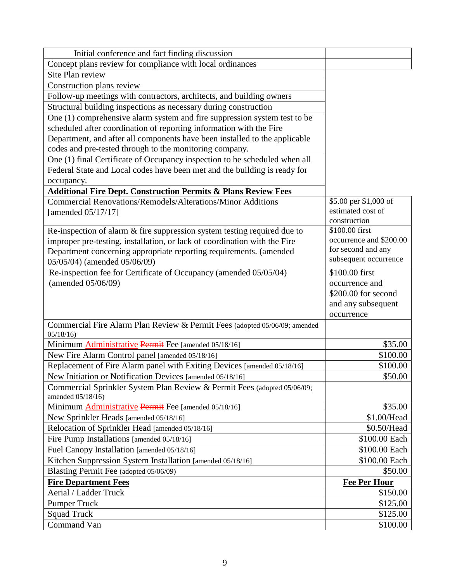| Initial conference and fact finding discussion                             |                                           |
|----------------------------------------------------------------------------|-------------------------------------------|
| Concept plans review for compliance with local ordinances                  |                                           |
| Site Plan review                                                           |                                           |
| Construction plans review                                                  |                                           |
| Follow-up meetings with contractors, architects, and building owners       |                                           |
| Structural building inspections as necessary during construction           |                                           |
| One (1) comprehensive alarm system and fire suppression system test to be  |                                           |
| scheduled after coordination of reporting information with the Fire        |                                           |
| Department, and after all components have been installed to the applicable |                                           |
| codes and pre-tested through to the monitoring company.                    |                                           |
| One (1) final Certificate of Occupancy inspection to be scheduled when all |                                           |
| Federal State and Local codes have been met and the building is ready for  |                                           |
| occupancy.                                                                 |                                           |
| <b>Additional Fire Dept. Construction Permits &amp; Plans Review Fees</b>  |                                           |
| <b>Commercial Renovations/Remodels/Alterations/Minor Additions</b>         | \$5.00 per \$1,000 of                     |
| [amended 05/17/17]                                                         | estimated cost of                         |
|                                                                            | construction                              |
| Re-inspection of alarm $&$ fire suppression system testing required due to | \$100.00 first<br>occurrence and \$200.00 |
| improper pre-testing, installation, or lack of coordination with the Fire  | for second and any                        |
| Department concerning appropriate reporting requirements. (amended         | subsequent occurrence                     |
| 05/05/04) (amended 05/06/09)                                               |                                           |
| Re-inspection fee for Certificate of Occupancy (amended 05/05/04)          | \$100.00 first                            |
| (amended 05/06/09)                                                         | occurrence and<br>\$200.00 for second     |
|                                                                            |                                           |
|                                                                            | and any subsequent<br>occurrence          |
| Commercial Fire Alarm Plan Review & Permit Fees (adopted 05/06/09; amended |                                           |
| 05/18/16                                                                   |                                           |
| Minimum Administrative Permit Fee [amended 05/18/16]                       | \$35.00                                   |
| New Fire Alarm Control panel [amended 05/18/16]                            | \$100.00                                  |
| Replacement of Fire Alarm panel with Exiting Devices [amended 05/18/16]    | \$100.00                                  |
| New Initiation or Notification Devices [amended 05/18/16]                  | \$50.00                                   |
| Commercial Sprinkler System Plan Review & Permit Fees (adopted 05/06/09;   |                                           |
| amended 05/18/16)                                                          |                                           |
| Minimum <b>Administrative Permit</b> Fee [amended 05/18/16]                | \$35.00                                   |
| New Sprinkler Heads [amended 05/18/16]                                     | \$1.00/Head                               |
| Relocation of Sprinkler Head [amended 05/18/16]                            | \$0.50/Head                               |
| Fire Pump Installations [amended 05/18/16]                                 | \$100.00 Each                             |
| Fuel Canopy Installation [amended 05/18/16]                                | \$100.00 Each                             |
| Kitchen Suppression System Installation [amended 05/18/16]                 | \$100.00 Each                             |
| Blasting Permit Fee (adopted 05/06/09)                                     | \$50.00                                   |
| <b>Fire Department Fees</b>                                                | <b>Fee Per Hour</b>                       |
| Aerial / Ladder Truck                                                      | \$150.00                                  |
| <b>Pumper Truck</b>                                                        | \$125.00                                  |
| <b>Squad Truck</b>                                                         | \$125.00                                  |
| Command Van                                                                | \$100.00                                  |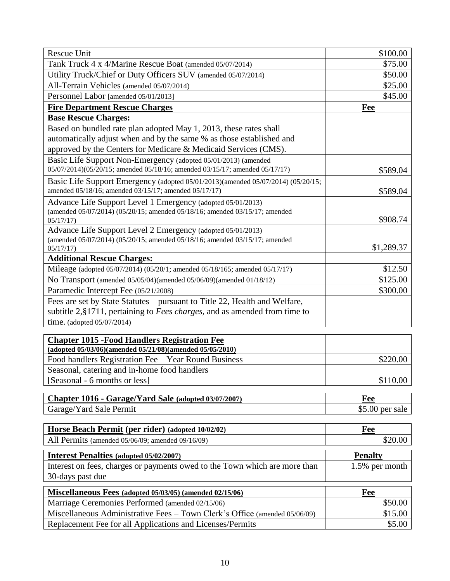| Tank Truck 4 x 4/Marine Rescue Boat (amended 05/07/2014)<br>\$75.00<br>Utility Truck/Chief or Duty Officers SUV (amended 05/07/2014)<br>\$50.00<br>All-Terrain Vehicles (amended 05/07/2014)<br>\$25.00<br>\$45.00<br>Personnel Labor [amended 05/01/2013]<br><b>Fire Department Rescue Charges</b><br><b>Fee</b><br><b>Base Rescue Charges:</b><br>Based on bundled rate plan adopted May 1, 2013, these rates shall<br>automatically adjust when and by the same % as those established and<br>approved by the Centers for Medicare & Medicaid Services (CMS).<br>Basic Life Support Non-Emergency (adopted 05/01/2013) (amended<br>05/07/2014)(05/20/15; amended 05/18/16; amended 03/15/17; amended 05/17/17)<br>\$589.04<br>Basic Life Support Emergency (adopted 05/01/2013)(amended 05/07/2014) (05/20/15;<br>amended 05/18/16; amended 03/15/17; amended 05/17/17)<br>\$589.04<br>Advance Life Support Level 1 Emergency (adopted 05/01/2013)<br>(amended 05/07/2014) (05/20/15; amended 05/18/16; amended 03/15/17; amended<br>\$908.74<br>05/17/17<br>Advance Life Support Level 2 Emergency (adopted 05/01/2013)<br>(amended 05/07/2014) (05/20/15; amended 05/18/16; amended 03/15/17; amended<br>\$1,289.37<br>05/17/17)<br><b>Additional Rescue Charges:</b><br>\$12.50<br>Mileage (adopted 05/07/2014) (05/20/1; amended 05/18/165; amended 05/17/17)<br>\$125.00<br>No Transport (amended 05/05/04)(amended 05/06/09)(amended 01/18/12)<br>Paramedic Intercept Fee (05/21/2008)<br>\$300.00<br>Fees are set by State Statutes – pursuant to Title 22, Health and Welfare,<br>subtitle $2, §1711$ , pertaining to <i>Fees charges</i> , and as amended from time to<br>time. (adopted $05/07/2014$ )<br><b>Chapter 1015 - Food Handlers Registration Fee</b><br>(adopted 05/03/06)(amended 05/21/08)(amended 05/05/2010)<br>Food handlers Registration Fee - Year Round Business<br>\$220.00<br>Seasonal, catering and in-home food handlers<br>[Seasonal - 6 months or less]<br>\$110.00<br>Chapter 1016 - Garage/Yard Sale (adopted 03/07/2007)<br>Fee<br>$$5.00$ per sale<br>Garage/Yard Sale Permit<br>Horse Beach Permit (per rider) (adopted 10/02/02)<br><b>Fee</b><br>\$20.00<br>All Permits (amended 05/06/09; amended 09/16/09)<br><b>Interest Penalties (adopted 05/02/2007)</b><br><b>Penalty</b><br>Interest on fees, charges or payments owed to the Town which are more than<br>1.5% per month<br>30-days past due<br>Miscellaneous Fees (adopted 05/03/05) (amended 02/15/06)<br>Fee<br>Marriage Ceremonies Performed (amended 02/15/06)<br>\$50.00<br>Miscellaneous Administrative Fees - Town Clerk's Office (amended 05/06/09)<br>\$15.00<br>Replacement Fee for all Applications and Licenses/Permits<br>\$5.00 | Rescue Unit | \$100.00 |
|----------------------------------------------------------------------------------------------------------------------------------------------------------------------------------------------------------------------------------------------------------------------------------------------------------------------------------------------------------------------------------------------------------------------------------------------------------------------------------------------------------------------------------------------------------------------------------------------------------------------------------------------------------------------------------------------------------------------------------------------------------------------------------------------------------------------------------------------------------------------------------------------------------------------------------------------------------------------------------------------------------------------------------------------------------------------------------------------------------------------------------------------------------------------------------------------------------------------------------------------------------------------------------------------------------------------------------------------------------------------------------------------------------------------------------------------------------------------------------------------------------------------------------------------------------------------------------------------------------------------------------------------------------------------------------------------------------------------------------------------------------------------------------------------------------------------------------------------------------------------------------------------------------------------------------------------------------------------------------------------------------------------------------------------------------------------------------------------------------------------------------------------------------------------------------------------------------------------------------------------------------------------------------------------------------------------------------------------------------------------------------------------------------------------------------------------------------------------------------------------------------------------------------------------------------------------------------------------------------------------------------------------------------------------------------------------------------------------------------------------------|-------------|----------|
|                                                                                                                                                                                                                                                                                                                                                                                                                                                                                                                                                                                                                                                                                                                                                                                                                                                                                                                                                                                                                                                                                                                                                                                                                                                                                                                                                                                                                                                                                                                                                                                                                                                                                                                                                                                                                                                                                                                                                                                                                                                                                                                                                                                                                                                                                                                                                                                                                                                                                                                                                                                                                                                                                                                                                    |             |          |
|                                                                                                                                                                                                                                                                                                                                                                                                                                                                                                                                                                                                                                                                                                                                                                                                                                                                                                                                                                                                                                                                                                                                                                                                                                                                                                                                                                                                                                                                                                                                                                                                                                                                                                                                                                                                                                                                                                                                                                                                                                                                                                                                                                                                                                                                                                                                                                                                                                                                                                                                                                                                                                                                                                                                                    |             |          |
|                                                                                                                                                                                                                                                                                                                                                                                                                                                                                                                                                                                                                                                                                                                                                                                                                                                                                                                                                                                                                                                                                                                                                                                                                                                                                                                                                                                                                                                                                                                                                                                                                                                                                                                                                                                                                                                                                                                                                                                                                                                                                                                                                                                                                                                                                                                                                                                                                                                                                                                                                                                                                                                                                                                                                    |             |          |
|                                                                                                                                                                                                                                                                                                                                                                                                                                                                                                                                                                                                                                                                                                                                                                                                                                                                                                                                                                                                                                                                                                                                                                                                                                                                                                                                                                                                                                                                                                                                                                                                                                                                                                                                                                                                                                                                                                                                                                                                                                                                                                                                                                                                                                                                                                                                                                                                                                                                                                                                                                                                                                                                                                                                                    |             |          |
|                                                                                                                                                                                                                                                                                                                                                                                                                                                                                                                                                                                                                                                                                                                                                                                                                                                                                                                                                                                                                                                                                                                                                                                                                                                                                                                                                                                                                                                                                                                                                                                                                                                                                                                                                                                                                                                                                                                                                                                                                                                                                                                                                                                                                                                                                                                                                                                                                                                                                                                                                                                                                                                                                                                                                    |             |          |
|                                                                                                                                                                                                                                                                                                                                                                                                                                                                                                                                                                                                                                                                                                                                                                                                                                                                                                                                                                                                                                                                                                                                                                                                                                                                                                                                                                                                                                                                                                                                                                                                                                                                                                                                                                                                                                                                                                                                                                                                                                                                                                                                                                                                                                                                                                                                                                                                                                                                                                                                                                                                                                                                                                                                                    |             |          |
|                                                                                                                                                                                                                                                                                                                                                                                                                                                                                                                                                                                                                                                                                                                                                                                                                                                                                                                                                                                                                                                                                                                                                                                                                                                                                                                                                                                                                                                                                                                                                                                                                                                                                                                                                                                                                                                                                                                                                                                                                                                                                                                                                                                                                                                                                                                                                                                                                                                                                                                                                                                                                                                                                                                                                    |             |          |
|                                                                                                                                                                                                                                                                                                                                                                                                                                                                                                                                                                                                                                                                                                                                                                                                                                                                                                                                                                                                                                                                                                                                                                                                                                                                                                                                                                                                                                                                                                                                                                                                                                                                                                                                                                                                                                                                                                                                                                                                                                                                                                                                                                                                                                                                                                                                                                                                                                                                                                                                                                                                                                                                                                                                                    |             |          |
|                                                                                                                                                                                                                                                                                                                                                                                                                                                                                                                                                                                                                                                                                                                                                                                                                                                                                                                                                                                                                                                                                                                                                                                                                                                                                                                                                                                                                                                                                                                                                                                                                                                                                                                                                                                                                                                                                                                                                                                                                                                                                                                                                                                                                                                                                                                                                                                                                                                                                                                                                                                                                                                                                                                                                    |             |          |
|                                                                                                                                                                                                                                                                                                                                                                                                                                                                                                                                                                                                                                                                                                                                                                                                                                                                                                                                                                                                                                                                                                                                                                                                                                                                                                                                                                                                                                                                                                                                                                                                                                                                                                                                                                                                                                                                                                                                                                                                                                                                                                                                                                                                                                                                                                                                                                                                                                                                                                                                                                                                                                                                                                                                                    |             |          |
|                                                                                                                                                                                                                                                                                                                                                                                                                                                                                                                                                                                                                                                                                                                                                                                                                                                                                                                                                                                                                                                                                                                                                                                                                                                                                                                                                                                                                                                                                                                                                                                                                                                                                                                                                                                                                                                                                                                                                                                                                                                                                                                                                                                                                                                                                                                                                                                                                                                                                                                                                                                                                                                                                                                                                    |             |          |
|                                                                                                                                                                                                                                                                                                                                                                                                                                                                                                                                                                                                                                                                                                                                                                                                                                                                                                                                                                                                                                                                                                                                                                                                                                                                                                                                                                                                                                                                                                                                                                                                                                                                                                                                                                                                                                                                                                                                                                                                                                                                                                                                                                                                                                                                                                                                                                                                                                                                                                                                                                                                                                                                                                                                                    |             |          |
|                                                                                                                                                                                                                                                                                                                                                                                                                                                                                                                                                                                                                                                                                                                                                                                                                                                                                                                                                                                                                                                                                                                                                                                                                                                                                                                                                                                                                                                                                                                                                                                                                                                                                                                                                                                                                                                                                                                                                                                                                                                                                                                                                                                                                                                                                                                                                                                                                                                                                                                                                                                                                                                                                                                                                    |             |          |
|                                                                                                                                                                                                                                                                                                                                                                                                                                                                                                                                                                                                                                                                                                                                                                                                                                                                                                                                                                                                                                                                                                                                                                                                                                                                                                                                                                                                                                                                                                                                                                                                                                                                                                                                                                                                                                                                                                                                                                                                                                                                                                                                                                                                                                                                                                                                                                                                                                                                                                                                                                                                                                                                                                                                                    |             |          |
|                                                                                                                                                                                                                                                                                                                                                                                                                                                                                                                                                                                                                                                                                                                                                                                                                                                                                                                                                                                                                                                                                                                                                                                                                                                                                                                                                                                                                                                                                                                                                                                                                                                                                                                                                                                                                                                                                                                                                                                                                                                                                                                                                                                                                                                                                                                                                                                                                                                                                                                                                                                                                                                                                                                                                    |             |          |
|                                                                                                                                                                                                                                                                                                                                                                                                                                                                                                                                                                                                                                                                                                                                                                                                                                                                                                                                                                                                                                                                                                                                                                                                                                                                                                                                                                                                                                                                                                                                                                                                                                                                                                                                                                                                                                                                                                                                                                                                                                                                                                                                                                                                                                                                                                                                                                                                                                                                                                                                                                                                                                                                                                                                                    |             |          |
|                                                                                                                                                                                                                                                                                                                                                                                                                                                                                                                                                                                                                                                                                                                                                                                                                                                                                                                                                                                                                                                                                                                                                                                                                                                                                                                                                                                                                                                                                                                                                                                                                                                                                                                                                                                                                                                                                                                                                                                                                                                                                                                                                                                                                                                                                                                                                                                                                                                                                                                                                                                                                                                                                                                                                    |             |          |
|                                                                                                                                                                                                                                                                                                                                                                                                                                                                                                                                                                                                                                                                                                                                                                                                                                                                                                                                                                                                                                                                                                                                                                                                                                                                                                                                                                                                                                                                                                                                                                                                                                                                                                                                                                                                                                                                                                                                                                                                                                                                                                                                                                                                                                                                                                                                                                                                                                                                                                                                                                                                                                                                                                                                                    |             |          |
|                                                                                                                                                                                                                                                                                                                                                                                                                                                                                                                                                                                                                                                                                                                                                                                                                                                                                                                                                                                                                                                                                                                                                                                                                                                                                                                                                                                                                                                                                                                                                                                                                                                                                                                                                                                                                                                                                                                                                                                                                                                                                                                                                                                                                                                                                                                                                                                                                                                                                                                                                                                                                                                                                                                                                    |             |          |
|                                                                                                                                                                                                                                                                                                                                                                                                                                                                                                                                                                                                                                                                                                                                                                                                                                                                                                                                                                                                                                                                                                                                                                                                                                                                                                                                                                                                                                                                                                                                                                                                                                                                                                                                                                                                                                                                                                                                                                                                                                                                                                                                                                                                                                                                                                                                                                                                                                                                                                                                                                                                                                                                                                                                                    |             |          |
|                                                                                                                                                                                                                                                                                                                                                                                                                                                                                                                                                                                                                                                                                                                                                                                                                                                                                                                                                                                                                                                                                                                                                                                                                                                                                                                                                                                                                                                                                                                                                                                                                                                                                                                                                                                                                                                                                                                                                                                                                                                                                                                                                                                                                                                                                                                                                                                                                                                                                                                                                                                                                                                                                                                                                    |             |          |
|                                                                                                                                                                                                                                                                                                                                                                                                                                                                                                                                                                                                                                                                                                                                                                                                                                                                                                                                                                                                                                                                                                                                                                                                                                                                                                                                                                                                                                                                                                                                                                                                                                                                                                                                                                                                                                                                                                                                                                                                                                                                                                                                                                                                                                                                                                                                                                                                                                                                                                                                                                                                                                                                                                                                                    |             |          |
|                                                                                                                                                                                                                                                                                                                                                                                                                                                                                                                                                                                                                                                                                                                                                                                                                                                                                                                                                                                                                                                                                                                                                                                                                                                                                                                                                                                                                                                                                                                                                                                                                                                                                                                                                                                                                                                                                                                                                                                                                                                                                                                                                                                                                                                                                                                                                                                                                                                                                                                                                                                                                                                                                                                                                    |             |          |
|                                                                                                                                                                                                                                                                                                                                                                                                                                                                                                                                                                                                                                                                                                                                                                                                                                                                                                                                                                                                                                                                                                                                                                                                                                                                                                                                                                                                                                                                                                                                                                                                                                                                                                                                                                                                                                                                                                                                                                                                                                                                                                                                                                                                                                                                                                                                                                                                                                                                                                                                                                                                                                                                                                                                                    |             |          |
|                                                                                                                                                                                                                                                                                                                                                                                                                                                                                                                                                                                                                                                                                                                                                                                                                                                                                                                                                                                                                                                                                                                                                                                                                                                                                                                                                                                                                                                                                                                                                                                                                                                                                                                                                                                                                                                                                                                                                                                                                                                                                                                                                                                                                                                                                                                                                                                                                                                                                                                                                                                                                                                                                                                                                    |             |          |
|                                                                                                                                                                                                                                                                                                                                                                                                                                                                                                                                                                                                                                                                                                                                                                                                                                                                                                                                                                                                                                                                                                                                                                                                                                                                                                                                                                                                                                                                                                                                                                                                                                                                                                                                                                                                                                                                                                                                                                                                                                                                                                                                                                                                                                                                                                                                                                                                                                                                                                                                                                                                                                                                                                                                                    |             |          |
|                                                                                                                                                                                                                                                                                                                                                                                                                                                                                                                                                                                                                                                                                                                                                                                                                                                                                                                                                                                                                                                                                                                                                                                                                                                                                                                                                                                                                                                                                                                                                                                                                                                                                                                                                                                                                                                                                                                                                                                                                                                                                                                                                                                                                                                                                                                                                                                                                                                                                                                                                                                                                                                                                                                                                    |             |          |
|                                                                                                                                                                                                                                                                                                                                                                                                                                                                                                                                                                                                                                                                                                                                                                                                                                                                                                                                                                                                                                                                                                                                                                                                                                                                                                                                                                                                                                                                                                                                                                                                                                                                                                                                                                                                                                                                                                                                                                                                                                                                                                                                                                                                                                                                                                                                                                                                                                                                                                                                                                                                                                                                                                                                                    |             |          |
|                                                                                                                                                                                                                                                                                                                                                                                                                                                                                                                                                                                                                                                                                                                                                                                                                                                                                                                                                                                                                                                                                                                                                                                                                                                                                                                                                                                                                                                                                                                                                                                                                                                                                                                                                                                                                                                                                                                                                                                                                                                                                                                                                                                                                                                                                                                                                                                                                                                                                                                                                                                                                                                                                                                                                    |             |          |
|                                                                                                                                                                                                                                                                                                                                                                                                                                                                                                                                                                                                                                                                                                                                                                                                                                                                                                                                                                                                                                                                                                                                                                                                                                                                                                                                                                                                                                                                                                                                                                                                                                                                                                                                                                                                                                                                                                                                                                                                                                                                                                                                                                                                                                                                                                                                                                                                                                                                                                                                                                                                                                                                                                                                                    |             |          |
|                                                                                                                                                                                                                                                                                                                                                                                                                                                                                                                                                                                                                                                                                                                                                                                                                                                                                                                                                                                                                                                                                                                                                                                                                                                                                                                                                                                                                                                                                                                                                                                                                                                                                                                                                                                                                                                                                                                                                                                                                                                                                                                                                                                                                                                                                                                                                                                                                                                                                                                                                                                                                                                                                                                                                    |             |          |
|                                                                                                                                                                                                                                                                                                                                                                                                                                                                                                                                                                                                                                                                                                                                                                                                                                                                                                                                                                                                                                                                                                                                                                                                                                                                                                                                                                                                                                                                                                                                                                                                                                                                                                                                                                                                                                                                                                                                                                                                                                                                                                                                                                                                                                                                                                                                                                                                                                                                                                                                                                                                                                                                                                                                                    |             |          |
|                                                                                                                                                                                                                                                                                                                                                                                                                                                                                                                                                                                                                                                                                                                                                                                                                                                                                                                                                                                                                                                                                                                                                                                                                                                                                                                                                                                                                                                                                                                                                                                                                                                                                                                                                                                                                                                                                                                                                                                                                                                                                                                                                                                                                                                                                                                                                                                                                                                                                                                                                                                                                                                                                                                                                    |             |          |
|                                                                                                                                                                                                                                                                                                                                                                                                                                                                                                                                                                                                                                                                                                                                                                                                                                                                                                                                                                                                                                                                                                                                                                                                                                                                                                                                                                                                                                                                                                                                                                                                                                                                                                                                                                                                                                                                                                                                                                                                                                                                                                                                                                                                                                                                                                                                                                                                                                                                                                                                                                                                                                                                                                                                                    |             |          |
|                                                                                                                                                                                                                                                                                                                                                                                                                                                                                                                                                                                                                                                                                                                                                                                                                                                                                                                                                                                                                                                                                                                                                                                                                                                                                                                                                                                                                                                                                                                                                                                                                                                                                                                                                                                                                                                                                                                                                                                                                                                                                                                                                                                                                                                                                                                                                                                                                                                                                                                                                                                                                                                                                                                                                    |             |          |
|                                                                                                                                                                                                                                                                                                                                                                                                                                                                                                                                                                                                                                                                                                                                                                                                                                                                                                                                                                                                                                                                                                                                                                                                                                                                                                                                                                                                                                                                                                                                                                                                                                                                                                                                                                                                                                                                                                                                                                                                                                                                                                                                                                                                                                                                                                                                                                                                                                                                                                                                                                                                                                                                                                                                                    |             |          |
|                                                                                                                                                                                                                                                                                                                                                                                                                                                                                                                                                                                                                                                                                                                                                                                                                                                                                                                                                                                                                                                                                                                                                                                                                                                                                                                                                                                                                                                                                                                                                                                                                                                                                                                                                                                                                                                                                                                                                                                                                                                                                                                                                                                                                                                                                                                                                                                                                                                                                                                                                                                                                                                                                                                                                    |             |          |
|                                                                                                                                                                                                                                                                                                                                                                                                                                                                                                                                                                                                                                                                                                                                                                                                                                                                                                                                                                                                                                                                                                                                                                                                                                                                                                                                                                                                                                                                                                                                                                                                                                                                                                                                                                                                                                                                                                                                                                                                                                                                                                                                                                                                                                                                                                                                                                                                                                                                                                                                                                                                                                                                                                                                                    |             |          |
|                                                                                                                                                                                                                                                                                                                                                                                                                                                                                                                                                                                                                                                                                                                                                                                                                                                                                                                                                                                                                                                                                                                                                                                                                                                                                                                                                                                                                                                                                                                                                                                                                                                                                                                                                                                                                                                                                                                                                                                                                                                                                                                                                                                                                                                                                                                                                                                                                                                                                                                                                                                                                                                                                                                                                    |             |          |
|                                                                                                                                                                                                                                                                                                                                                                                                                                                                                                                                                                                                                                                                                                                                                                                                                                                                                                                                                                                                                                                                                                                                                                                                                                                                                                                                                                                                                                                                                                                                                                                                                                                                                                                                                                                                                                                                                                                                                                                                                                                                                                                                                                                                                                                                                                                                                                                                                                                                                                                                                                                                                                                                                                                                                    |             |          |
|                                                                                                                                                                                                                                                                                                                                                                                                                                                                                                                                                                                                                                                                                                                                                                                                                                                                                                                                                                                                                                                                                                                                                                                                                                                                                                                                                                                                                                                                                                                                                                                                                                                                                                                                                                                                                                                                                                                                                                                                                                                                                                                                                                                                                                                                                                                                                                                                                                                                                                                                                                                                                                                                                                                                                    |             |          |
|                                                                                                                                                                                                                                                                                                                                                                                                                                                                                                                                                                                                                                                                                                                                                                                                                                                                                                                                                                                                                                                                                                                                                                                                                                                                                                                                                                                                                                                                                                                                                                                                                                                                                                                                                                                                                                                                                                                                                                                                                                                                                                                                                                                                                                                                                                                                                                                                                                                                                                                                                                                                                                                                                                                                                    |             |          |
|                                                                                                                                                                                                                                                                                                                                                                                                                                                                                                                                                                                                                                                                                                                                                                                                                                                                                                                                                                                                                                                                                                                                                                                                                                                                                                                                                                                                                                                                                                                                                                                                                                                                                                                                                                                                                                                                                                                                                                                                                                                                                                                                                                                                                                                                                                                                                                                                                                                                                                                                                                                                                                                                                                                                                    |             |          |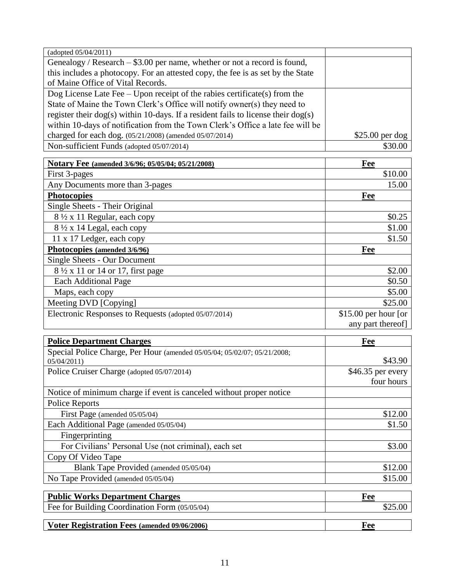| (adopted 05/04/2011)                                                                    |                       |
|-----------------------------------------------------------------------------------------|-----------------------|
| Genealogy / Research $-$ \$3.00 per name, whether or not a record is found,             |                       |
| this includes a photocopy. For an attested copy, the fee is as set by the State         |                       |
| of Maine Office of Vital Records.                                                       |                       |
| Dog License Late Fee - Upon receipt of the rabies certificate(s) from the               |                       |
| State of Maine the Town Clerk's Office will notify owner(s) they need to                |                       |
| register their $\log(s)$ within 10-days. If a resident fails to license their $\log(s)$ |                       |
| within 10-days of notification from the Town Clerk's Office a late fee will be          |                       |
| charged for each dog. (05/21/2008) (amended 05/07/2014)                                 | $$25.00$ per dog      |
| Non-sufficient Funds (adopted 05/07/2014)                                               | \$30.00               |
| Notary Fee (amended 3/6/96; 05/05/04; 05/21/2008)                                       | Fee                   |
| First 3-pages                                                                           | \$10.00               |
| Any Documents more than 3-pages                                                         | 15.00                 |
| <b>Photocopies</b>                                                                      | Fee                   |
| Single Sheets - Their Original                                                          |                       |
| 8 ½ x 11 Regular, each copy                                                             | \$0.25                |
| 8 1/2 x 14 Legal, each copy                                                             | \$1.00                |
| 11 x 17 Ledger, each copy                                                               | \$1.50                |
| Photocopies (amended 3/6/96)                                                            | Fee                   |
| <b>Single Sheets - Our Document</b>                                                     |                       |
| 8 1/2 x 11 or 14 or 17, first page                                                      | \$2.00                |
| <b>Each Additional Page</b>                                                             | \$0.50                |
| Maps, each copy                                                                         | \$5.00                |
| Meeting DVD [Copying]                                                                   | \$25.00               |
| Electronic Responses to Requests (adopted 05/07/2014)                                   | $$15.00$ per hour [or |
|                                                                                         | any part thereof]     |
|                                                                                         |                       |
| <b>Police Department Charges</b>                                                        | Fee                   |
| Special Police Charge, Per Hour (amended 05/05/04; 05/02/07; 05/21/2008;                |                       |
| 05/04/2011                                                                              | \$43.90               |
| Police Cruiser Charge (adopted 05/07/2014)                                              | \$46.35 per every     |
|                                                                                         | four hours            |
| Notice of minimum charge if event is canceled without proper notice                     |                       |
| <b>Police Reports</b>                                                                   |                       |
| First Page (amended 05/05/04)                                                           | \$12.00               |
| Each Additional Page (amended 05/05/04)                                                 | \$1.50                |
| Fingerprinting                                                                          |                       |
| For Civilians' Personal Use (not criminal), each set                                    | \$3.00                |
| Copy Of Video Tape                                                                      |                       |
| Blank Tape Provided (amended 05/05/04)                                                  | \$12.00               |
| No Tape Provided (amended 05/05/04)                                                     | \$15.00               |
| <b>Public Works Department Charges</b>                                                  | Fee                   |
| Fee for Building Coordination Form (05/05/04)                                           | \$25.00               |
| Voter Registration Fees (amended 09/06/2006)                                            | Fee                   |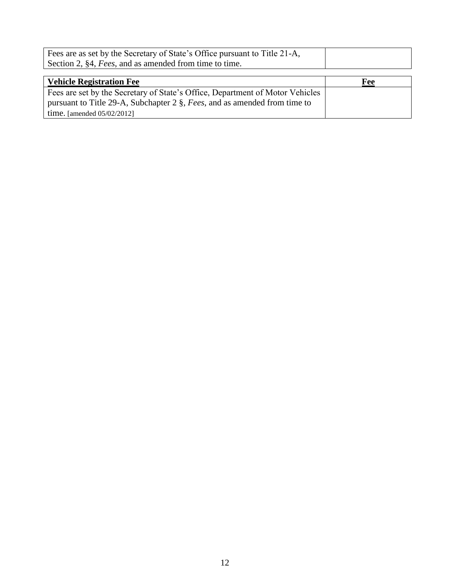| Fees are as set by the Secretary of State's Office pursuant to Title 21-A,    |     |
|-------------------------------------------------------------------------------|-----|
| Section 2, §4, Fees, and as amended from time to time.                        |     |
|                                                                               |     |
| <b>Vehicle Registration Fee</b>                                               | Fee |
| Fees are set by the Secretary of State's Office, Department of Motor Vehicles |     |
| pursuant to Title 29-A, Subchapter 2 §, Fees, and as amended from time to     |     |
| time. [amended $05/02/2012$ ]                                                 |     |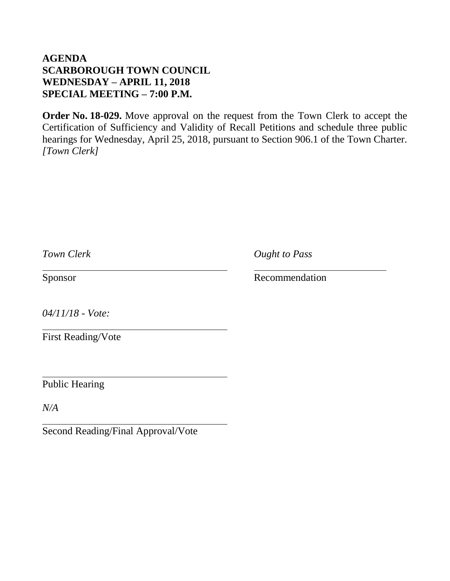## **AGENDA SCARBOROUGH TOWN COUNCIL WEDNESDAY – APRIL 11, 2018 SPECIAL MEETING – 7:00 P.M.**

**Order No. 18-029.** Move approval on the request from the Town Clerk to accept the Certification of Sufficiency and Validity of Recall Petitions and schedule three public hearings for Wednesday, April 25, 2018, pursuant to Section 906.1 of the Town Charter. *[Town Clerk]*

| Town Clerk                | <b>Ought to Pass</b> |
|---------------------------|----------------------|
| Sponsor                   | Recommendation       |
| $04/11/18$ - Vote:        |                      |
| <b>First Reading/Vote</b> |                      |
| <b>Public Hearing</b>     |                      |
| N/A                       |                      |

Second Reading/Final Approval/Vote